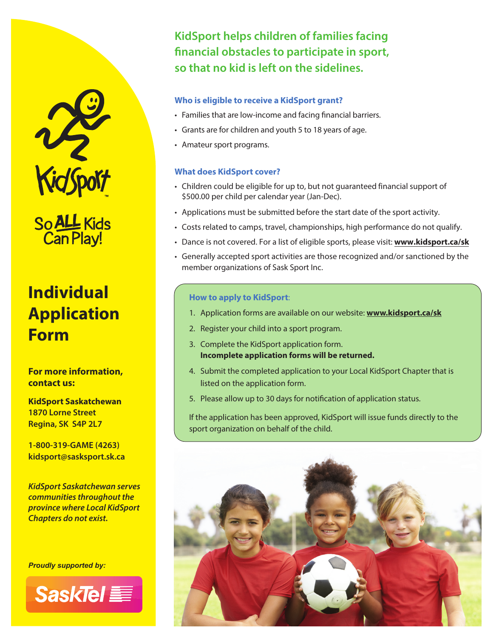

So ALL Kids<br>Can Play!

# **Individual Application Form**

**For more information, contact us:**

**KidSport Saskatchewan 1870 Lorne Street Regina, SK S4P 2L7**

**1-800-319-GAME (4263) kidsport@sasksport.sk.ca**

*KidSport Saskatchewan serves communities throughout the province where Local KidSport Chapters do not exist.*

*Proudly supported by:*



**KidSport helps children of families facing**  financial obstacles to participate in sport, **so that no kid is left on the sidelines.**

#### **Who is eligible to receive a KidSport grant?**

- Families that are low-income and facing financial barriers.
- Grants are for children and youth 5 to 18 years of age.
- Amateur sport programs.

#### **What does KidSport cover?**

- Children could be eligible for up to, but not guaranteed financial support of \$500.00 per child per calendar year (Jan-Dec).
- Applications must be submitted before the start date of the sport activity.
- Costs related to camps, travel, championships, high performance do not qualify.
- Dance is not covered. For a list of eligible sports, please visit: **www.kidsport.ca/sk**
- Generally accepted sport activities are those recognized and/or sanctioned by the member organizations of Sask Sport Inc.

#### **How to apply to KidSport**:

- 1. Application forms are available on our website: **www.kidsport.ca/sk**
- 2. Register your child into a sport program.
- 3. Complete the KidSport application form. **Incomplete application forms will be returned.**
- 4. Submit the completed application to your Local KidSport Chapter that is listed on the application form.
- 5. Please allow up to 30 days for notification of application status.

If the application has been approved, KidSport will issue funds directly to the sport organization on behalf of the child.